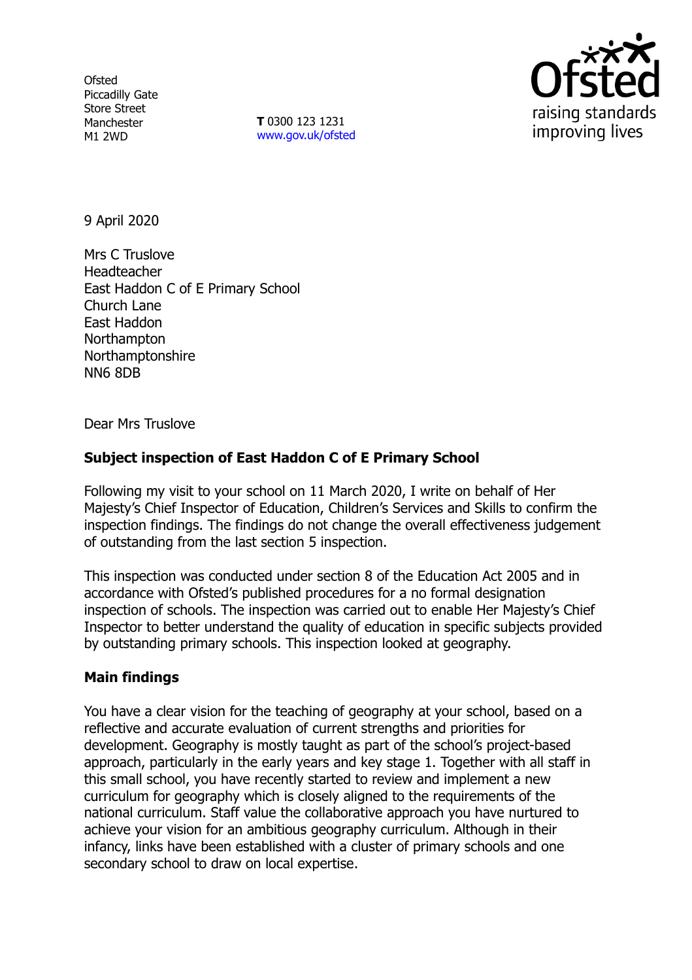**Ofsted** Piccadilly Gate Store Street Manchester M1 2WD

**T** 0300 123 1231 [www.gov.uk/ofsted](http://www.gov.uk/ofsted)



9 April 2020

Mrs C Truslove Headteacher East Haddon C of E Primary School Church Lane East Haddon **Northampton** Northamptonshire NN6 8DB

Dear Mrs Truslove

## **Subject inspection of East Haddon C of E Primary School**

Following my visit to your school on 11 March 2020, I write on behalf of Her Majesty's Chief Inspector of Education, Children's Services and Skills to confirm the inspection findings. The findings do not change the overall effectiveness judgement of outstanding from the last section 5 inspection.

This inspection was conducted under section 8 of the Education Act 2005 and in accordance with Ofsted's published procedures for a no formal designation inspection of schools. The inspection was carried out to enable Her Majesty's Chief Inspector to better understand the quality of education in specific subjects provided by outstanding primary schools. This inspection looked at geography.

## **Main findings**

You have a clear vision for the teaching of geography at your school, based on a reflective and accurate evaluation of current strengths and priorities for development. Geography is mostly taught as part of the school's project-based approach, particularly in the early years and key stage 1. Together with all staff in this small school, you have recently started to review and implement a new curriculum for geography which is closely aligned to the requirements of the national curriculum. Staff value the collaborative approach you have nurtured to achieve your vision for an ambitious geography curriculum. Although in their infancy, links have been established with a cluster of primary schools and one secondary school to draw on local expertise.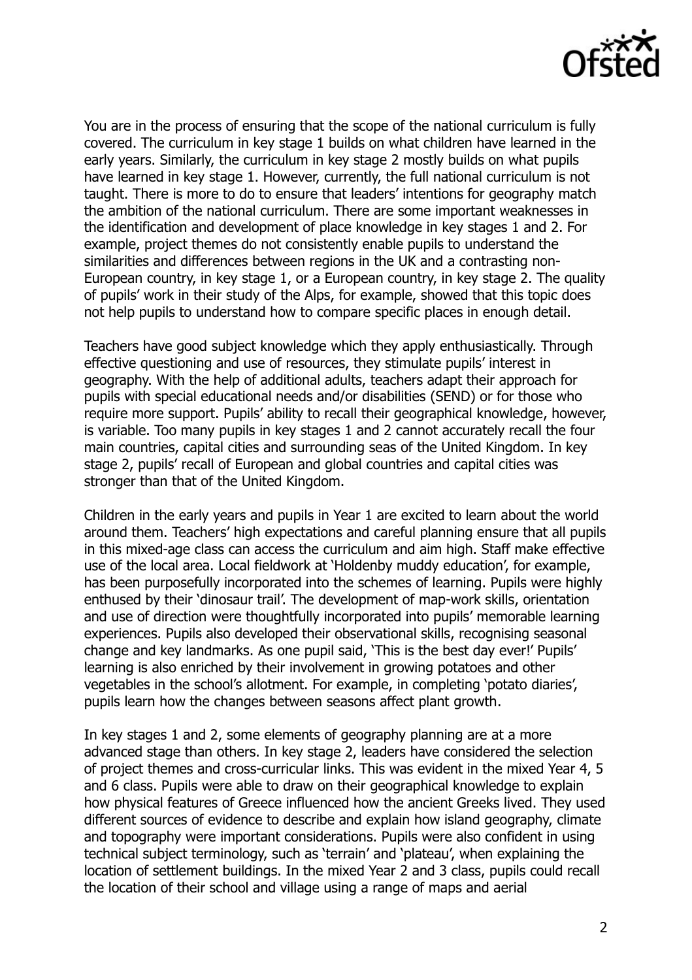

You are in the process of ensuring that the scope of the national curriculum is fully covered. The curriculum in key stage 1 builds on what children have learned in the early years. Similarly, the curriculum in key stage 2 mostly builds on what pupils have learned in key stage 1. However, currently, the full national curriculum is not taught. There is more to do to ensure that leaders' intentions for geography match the ambition of the national curriculum. There are some important weaknesses in the identification and development of place knowledge in key stages 1 and 2. For example, project themes do not consistently enable pupils to understand the similarities and differences between regions in the UK and a contrasting non-European country, in key stage 1, or a European country, in key stage 2. The quality of pupils' work in their study of the Alps, for example, showed that this topic does not help pupils to understand how to compare specific places in enough detail.

Teachers have good subject knowledge which they apply enthusiastically. Through effective questioning and use of resources, they stimulate pupils' interest in geography. With the help of additional adults, teachers adapt their approach for pupils with special educational needs and/or disabilities (SEND) or for those who require more support. Pupils' ability to recall their geographical knowledge, however, is variable. Too many pupils in key stages 1 and 2 cannot accurately recall the four main countries, capital cities and surrounding seas of the United Kingdom. In key stage 2, pupils' recall of European and global countries and capital cities was stronger than that of the United Kingdom.

Children in the early years and pupils in Year 1 are excited to learn about the world around them. Teachers' high expectations and careful planning ensure that all pupils in this mixed-age class can access the curriculum and aim high. Staff make effective use of the local area. Local fieldwork at 'Holdenby muddy education', for example, has been purposefully incorporated into the schemes of learning. Pupils were highly enthused by their 'dinosaur trail'. The development of map-work skills, orientation and use of direction were thoughtfully incorporated into pupils' memorable learning experiences. Pupils also developed their observational skills, recognising seasonal change and key landmarks. As one pupil said, 'This is the best day ever!' Pupils' learning is also enriched by their involvement in growing potatoes and other vegetables in the school's allotment. For example, in completing 'potato diaries', pupils learn how the changes between seasons affect plant growth.

In key stages 1 and 2, some elements of geography planning are at a more advanced stage than others. In key stage 2, leaders have considered the selection of project themes and cross-curricular links. This was evident in the mixed Year 4, 5 and 6 class. Pupils were able to draw on their geographical knowledge to explain how physical features of Greece influenced how the ancient Greeks lived. They used different sources of evidence to describe and explain how island geography, climate and topography were important considerations. Pupils were also confident in using technical subject terminology, such as 'terrain' and 'plateau', when explaining the location of settlement buildings. In the mixed Year 2 and 3 class, pupils could recall the location of their school and village using a range of maps and aerial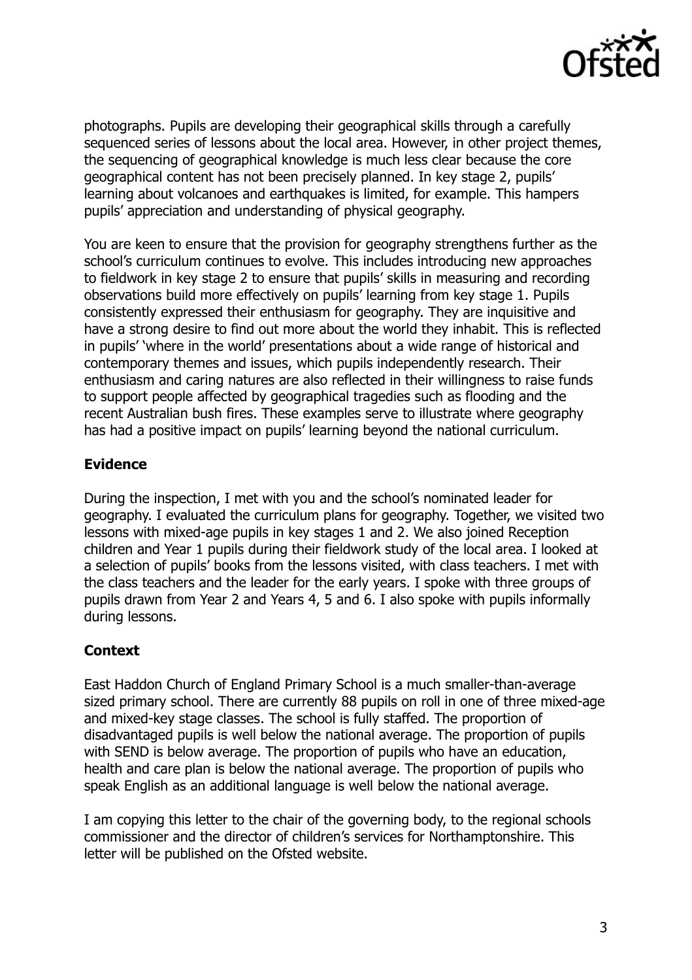

photographs. Pupils are developing their geographical skills through a carefully sequenced series of lessons about the local area. However, in other project themes, the sequencing of geographical knowledge is much less clear because the core geographical content has not been precisely planned. In key stage 2, pupils' learning about volcanoes and earthquakes is limited, for example. This hampers pupils' appreciation and understanding of physical geography.

You are keen to ensure that the provision for geography strengthens further as the school's curriculum continues to evolve. This includes introducing new approaches to fieldwork in key stage 2 to ensure that pupils' skills in measuring and recording observations build more effectively on pupils' learning from key stage 1. Pupils consistently expressed their enthusiasm for geography. They are inquisitive and have a strong desire to find out more about the world they inhabit. This is reflected in pupils' 'where in the world' presentations about a wide range of historical and contemporary themes and issues, which pupils independently research. Their enthusiasm and caring natures are also reflected in their willingness to raise funds to support people affected by geographical tragedies such as flooding and the recent Australian bush fires. These examples serve to illustrate where geography has had a positive impact on pupils' learning beyond the national curriculum.

## **Evidence**

During the inspection, I met with you and the school's nominated leader for geography. I evaluated the curriculum plans for geography. Together, we visited two lessons with mixed-age pupils in key stages 1 and 2. We also joined Reception children and Year 1 pupils during their fieldwork study of the local area. I looked at a selection of pupils' books from the lessons visited, with class teachers. I met with the class teachers and the leader for the early years. I spoke with three groups of pupils drawn from Year 2 and Years 4, 5 and 6. I also spoke with pupils informally during lessons.

## **Context**

East Haddon Church of England Primary School is a much smaller-than-average sized primary school. There are currently 88 pupils on roll in one of three mixed-age and mixed-key stage classes. The school is fully staffed. The proportion of disadvantaged pupils is well below the national average. The proportion of pupils with SEND is below average. The proportion of pupils who have an education, health and care plan is below the national average. The proportion of pupils who speak English as an additional language is well below the national average.

I am copying this letter to the chair of the governing body, to the regional schools commissioner and the director of children's services for Northamptonshire. This letter will be published on the Ofsted website.